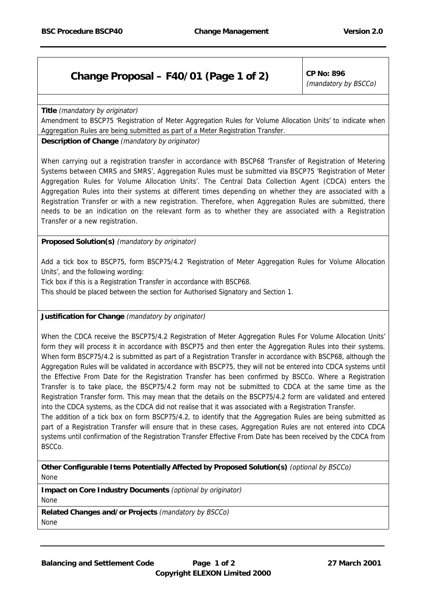## **Change Proposal – F40/01 (Page 1 of 2)**  $\vert$  CP No: 896

(mandatory by BSCCo)

**Title** (mandatory by originator)

Amendment to BSCP75 'Registration of Meter Aggregation Rules for Volume Allocation Units' to indicate when Aggregation Rules are being submitted as part of a Meter Registration Transfer.

## **Description of Change** (mandatory by originator)

When carrying out a registration transfer in accordance with BSCP68 'Transfer of Registration of Metering Systems between CMRS and SMRS', Aggregation Rules must be submitted via BSCP75 'Registration of Meter Aggregation Rules for Volume Allocation Units'. The Central Data Collection Agent (CDCA) enters the Aggregation Rules into their systems at different times depending on whether they are associated with a Registration Transfer or with a new registration. Therefore, when Aggregation Rules are submitted, there needs to be an indication on the relevant form as to whether they are associated with a Registration Transfer or a new registration.

**Proposed Solution(s)** (mandatory by originator)

Add a tick box to BSCP75, form BSCP75/4.2 'Registration of Meter Aggregation Rules for Volume Allocation Units', and the following wording:

Tick box if this is a Registration Transfer in accordance with BSCP68.

This should be placed between the section for Authorised Signatory and Section 1.

## **Justification for Change** (mandatory by originator)

When the CDCA receive the BSCP75/4.2 Registration of Meter Aggregation Rules For Volume Allocation Units' form they will process it in accordance with BSCP75 and then enter the Aggregation Rules into their systems. When form BSCP75/4.2 is submitted as part of a Registration Transfer in accordance with BSCP68, although the Aggregation Rules will be validated in accordance with BSCP75, they will not be entered into CDCA systems until the Effective From Date for the Registration Transfer has been confirmed by BSCCo. Where a Registration Transfer is to take place, the BSCP75/4.2 form may not be submitted to CDCA at the same time as the Registration Transfer form. This may mean that the details on the BSCP75/4.2 form are validated and entered into the CDCA systems, as the CDCA did not realise that it was associated with a Registration Transfer. The addition of a tick box on form BSCP75/4.2, to identify that the Aggregation Rules are being submitted as part of a Registration Transfer will ensure that in these cases, Aggregation Rules are not entered into CDCA

systems until confirmation of the Registration Transfer Effective From Date has been received by the CDCA from BSCCo.

**Other Configurable Items Potentially Affected by Proposed Solution(s)** (optional by BSCCo) None

**Impact on Core Industry Documents** (optional by originator) None

**Related Changes and/or Projects** (mandatory by BSCCo) **None**